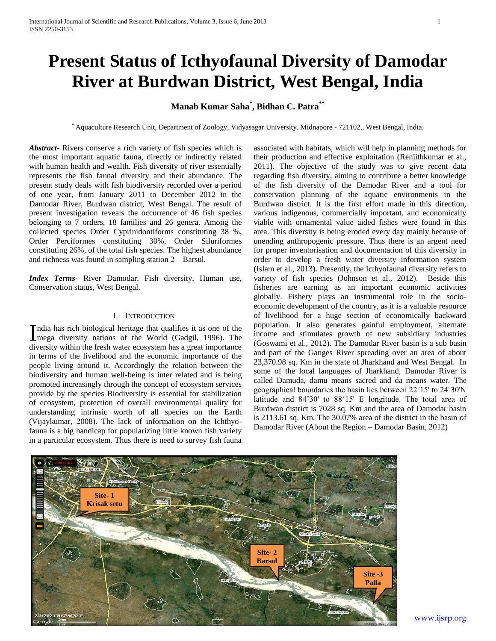# **Present Status of Icthyofaunal Diversity of Damodar River at Burdwan District, West Bengal, India**

## **Manab Kumar Saha\* , Bidhan C. Patra\*\***

\* Aquaculture Research Unit, Department of Zoology, Vidyasagar University. Midnapore - 721102., West Bengal, India.

*Abstract***-** Rivers conserve a rich variety of fish species which is the most important aquatic fauna, directly or indirectly related with human health and wealth. Fish diversity of river essentially represents the fish faunal diversity and their abundance. The present study deals with fish biodiversity recorded over a period of one year, from January 2011 to December 2012 in the Damodar River, Burdwan district, West Bengal. The result of present investigation reveals the occurrence of 46 fish species belonging to 7 orders, 18 families and 26 genera. Among the collected species Order Cyprinidontiforms constituting 38 %, Order Perciformes constituting 30%, Order Siluriformes constituting 26%, of the total fish species. The highest abundance and richness was found in sampling station 2 – Barsul.

*Index Terms*- River Damodar, Fish diversity, Human use, Conservation status, West Bengal.

#### I. INTRODUCTION

ndia has rich biological heritage that qualifies it as one of the India has rich biological heritage that qualifies it as one of the mega diversity nations of the World (Gadgil, 1996). The diversity within the fresh water ecosystem has a great importance in terms of the livelihood and the economic importance of the people living around it. Accordingly the relation between the biodiversity and human well-being is inter related and is being promoted increasingly through the concept of ecosystem services provide by the species Biodiversity is essential for stabilization of ecosystem, protection of overall environmental quality for understanding intrinsic worth of all species on the Earth (Vijaykumar, 2008). The lack of information on the Ichthyofauna is a big handicap for popularizing little known fish variety in a particular ecosystem. Thus there is need to survey fish fauna

associated with habitats, which will help in planning methods for their production and effective exploitation (Renjithkumar et al., 2011). The objective of the study was to give recent data regarding fish diversity, aiming to contribute a better knowledge of the fish diversity of the Damodar River and a tool for conservation planning of the aquatic environments in the Burdwan district. It is the first effort made in this direction, various indigenous, commercially important, and economically viable with ornamental value aided fishes were found in this area. This diversity is being eroded every day mainly because of unending anthropogenic pressure. Thus there is an argent need for proper inventorisation and documentation of this diversity in order to develop a fresh water diversity information system (Islam et al., 2013). Presently, the Icthyofaunal diversity refers to variety of fish species (Johnson et al., 2012). Beside this fisheries are earning as an important economic activities globally. Fishery plays an instrumental role in the socioeconomic development of the country, as it is a valuable resource of livelihood for a huge section of economically backward population. It also generates gainful employment, alternate income and stimulates growth of new subsidiary industries (Goswami et al., 2012). The Damodar River basin is a sub basin and part of the Ganges River spreading over an area of about 23,370.98 sq. Km in the state of Jharkhand and West Bengal. In some of the local languages of Jharkhand, Damodar River is called Damuda, damu means sacred and da means water. The geographical boundaries the basin lies between 22˚15' to 24˚30'N latitude and 84˚30' to 88˚15' E longitude. The total area of Burdwan district is 7028 sq. Km and the area of Damodar basin is 2113.61 sq. Km. The 30.07% area of the district in the basin of Damodar River (About the Region – Damodar Basin, 2012)



www.ijsrp.org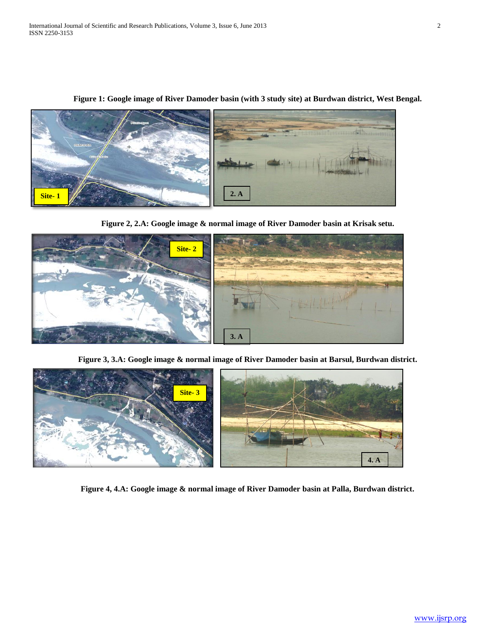

**Figure 1: Google image of River Damoder basin (with 3 study site) at Burdwan district, West Bengal.**

**Figure 2, 2.A: Google image & normal image of River Damoder basin at Krisak setu.**



**Figure 3, 3.A: Google image & normal image of River Damoder basin at Barsul, Burdwan district.**



**Figure 4, 4.A: Google image & normal image of River Damoder basin at Palla, Burdwan district.**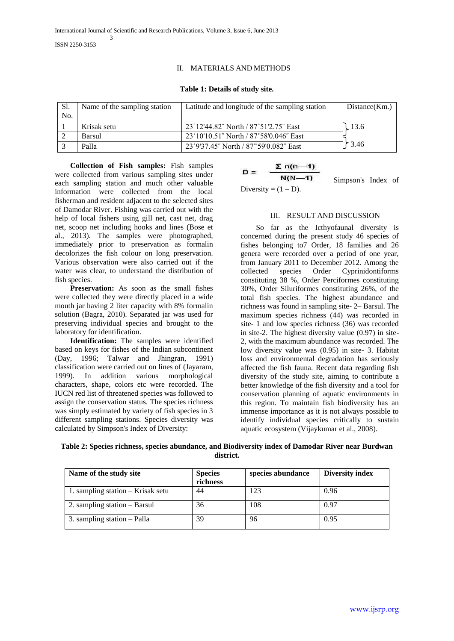## II. MATERIALS AND METHODS

### **Table 1: Details of study site.**

| S1.<br>No. | Name of the sampling station | Latitude and longitude of the sampling station | Distance(Km.) |
|------------|------------------------------|------------------------------------------------|---------------|
|            | Krisak setu                  | 23°12'44.82" North / 87°51'2.75" East          | 13.6          |
|            | Barsul                       | 23°10'10.51" North / 87°58'0.046" East         |               |
|            | Palla                        | 23°9'37.45" North / 87°'59'0.082" East         | 3.46 م        |

 **Collection of Fish samples:** Fish samples were collected from various sampling sites under each sampling station and much other valuable information were collected from the local fisherman and resident adjacent to the selected sites of Damodar River. Fishing was carried out with the help of local fishers using gill net, cast net, drag net, scoop net including hooks and lines (Bose et al., 2013). The samples were photographed, immediately prior to preservation as formalin decolorizes the fish colour on long preservation. Various observation were also carried out if the water was clear, to understand the distribution of fish species.

**Preservation:** As soon as the small fishes were collected they were directly placed in a wide mouth jar having 2 liter capacity with 8% formalin solution (Bagra, 2010). Separated jar was used for preserving individual species and brought to the laboratory for identification.

 **Identification:** The samples were identified based on keys for fishes of the Indian subcontinent (Day, 1996; Talwar and Jhingran, 1991) classification were carried out on lines of (Jayaram, 1999). In addition various morphological characters, shape, colors etc were recorded. The IUCN red list of threatened species was followed to assign the conservation status. The species richness was simply estimated by variety of fish species in 3 different sampling stations. Species diversity was calculated by Simpson's Index of Diversity:

$$
D = \frac{\sum n(n-1)}{N(N-1)}
$$
 Simpson's Index of

Diversity =  $(1 – D)$ .

## III. RESULT AND DISCUSSION

So far as the Icthyofaunal diversity is concerned during the present study 46 species of fishes belonging to7 Order, 18 families and 26 genera were recorded over a period of one year, from January 2011 to December 2012. Among the collected species Order Cyprinidontiforms constituting 38 %, Order Perciformes constituting 30%, Order Siluriformes constituting 26%, of the total fish species. The highest abundance and richness was found in sampling site- 2– Barsul. The maximum species richness (44) was recorded in site- 1 and low species richness (36) was recorded in site-2. The highest diversity value (0.97) in site-2, with the maximum abundance was recorded. The low diversity value was (0.95) in site- 3. Habitat loss and environmental degradation has seriously affected the fish fauna. Recent data regarding fish diversity of the study site, aiming to contribute a better knowledge of the fish diversity and a tool for conservation planning of aquatic environments in this region. To maintain fish biodiversity has an immense importance as it is not always possible to identify individual species critically to sustain aquatic ecosystem (Vijaykumar et al., 2008).

**Table 2: Species richness, species abundance, and Biodiversity index of Damodar River near Burdwan district.**

| Name of the study site            | <b>Species</b><br>richness | species abundance | <b>Diversity index</b> |
|-----------------------------------|----------------------------|-------------------|------------------------|
| 1. sampling station – Krisak setu | 44                         | 123               | 0.96                   |
| 2. sampling station – Barsul      | 36                         | 108               | 0.97                   |
| 3. sampling station – Palla       | 39                         | 96                | 0.95                   |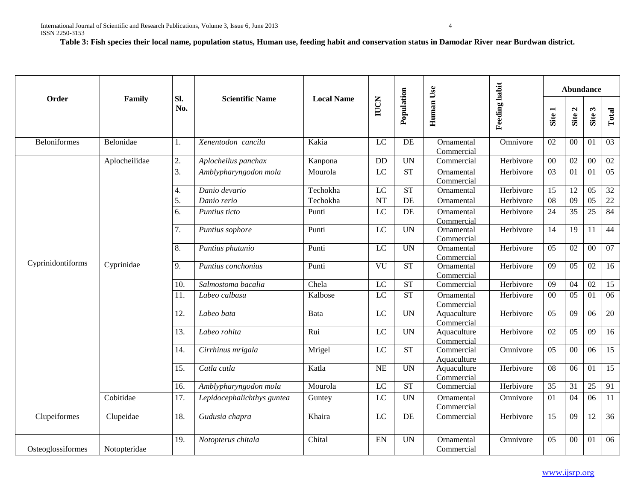**Table 3: Fish species their local name, population status, Human use, feeding habit and conservation status in Damodar River near Burdwan district.**

|                     | Family        |            |                            |                   |                 | Population |                           |                      |                 | Abundance       |                 |                 |  |
|---------------------|---------------|------------|----------------------------|-------------------|-----------------|------------|---------------------------|----------------------|-----------------|-----------------|-----------------|-----------------|--|
| Order               |               | Sl.<br>No. | <b>Scientific Name</b>     | <b>Local Name</b> | <b>IUCN</b>     |            | Human Use                 | <b>Feeding habit</b> | Site 1          | Site 2          | Site 3          | Total           |  |
| <b>Beloniformes</b> | Belonidae     | 1.         | Xenentodon cancila         | Kakia             | LC              | DE         | Ornamental<br>Commercial  | Omnivore             | 02              | $00\,$          | 01              | 03              |  |
|                     | Aplocheilidae | 2.         | Aplocheilus panchax        | Kanpona           | <b>DD</b>       | <b>UN</b>  | Commercial                | Herbivore            | 00              | 02              | 00              | 02              |  |
|                     |               | 3.         | Amblypharyngodon mola      | Mourola           | LC              | <b>ST</b>  | Ornamental<br>Commercial  | Herbivore            | 03              | 01              | 01              | 05              |  |
|                     |               | 4.         | Danio devario              | Techokha          | $\overline{LC}$ | ST         | Ornamental                | Herbivore            | $\overline{15}$ | $\overline{12}$ | $\overline{05}$ | $\overline{32}$ |  |
|                     |               | 5.         | Danio rerio                | Techokha          | <b>NT</b>       | $\rm DE$   | Ornamental                | Herbivore            | 08              | $\overline{09}$ | $\overline{05}$ | $\overline{22}$ |  |
|                     |               | 6.         | Puntius ticto              | Punti             | LC              | $\rm DE$   | Ornamental<br>Commercial  | Herbivore            | 24              | 35              | 25              | 84              |  |
|                     |               | 7.         | Puntius sophore            | Punti             | LC              | <b>UN</b>  | Ornamental<br>Commercial  | Herbivore            | 14              | 19              | 11              | $44\,$          |  |
|                     |               | 8.         | Puntius phutunio           | Punti             | LC              | <b>UN</b>  | Ornamental<br>Commercial  | Herbivore            | 05              | 02              | $00\,$          | $07\,$          |  |
| Cyprinidontiforms   | Cyprinidae    | 9.         | Puntius conchonius         | Punti             | VU              | <b>ST</b>  | Ornamental<br>Commercial  | Herbivore            | 09              | 05              | 02              | 16              |  |
|                     |               | 10.        | Salmostoma bacalia         | Chela             | $\overline{LC}$ | ST         | Commercial                | Herbivore            | 09              | 04              | $\overline{02}$ | $\overline{15}$ |  |
|                     |               | 11.        | Labeo calbasu              | Kalbose           | LC              | ST         | Ornamental<br>Commercial  | Herbivore            | $00\,$          | 05              | 01              | 06              |  |
|                     |               | 12.        | Labeo bata                 | Bata              | $\overline{LC}$ | <b>UN</b>  | Aquaculture<br>Commercial | Herbivore            | 05              | 09              | 06              | $\overline{20}$ |  |
|                     |               | 13.        | Labeo rohita               | Rui               | LC              | <b>UN</b>  | Aquaculture<br>Commercial | Herbivore            | $\overline{02}$ | 05              | $\overline{09}$ | $\overline{16}$ |  |
|                     |               | 14.        | Cirrhinus mrigala          | Mrigel            | LC              | <b>ST</b>  | Commercial<br>Aquaculture | Omnivore             | 05              | $00\,$          | 06              | 15              |  |
|                     |               | 15.        | Catla catla                | Katla             | NE              | <b>UN</b>  | Aquaculture<br>Commercial | Herbivore            | 08              | 06              | 01              | $\overline{15}$ |  |
|                     |               | 16.        | Amblypharyngodon mola      | Mourola           | LC              | <b>ST</b>  | Commercial                | Herbivore            | 35              | 31              | 25              | 91              |  |
|                     | Cobitidae     | 17.        | Lepidocephalichthys guntea | Guntey            | $\overline{LC}$ | <b>UN</b>  | Ornamental<br>Commercial  | Omnivore             | 01              | 04              | 06              | $\overline{11}$ |  |
| Clupeiformes        | Clupeidae     | 18.        | Gudusia chapra             | Khaira            | LC              | DE         | Commercial                | Herbivore            | 15              | 09              | 12              | 36              |  |
| Osteoglossiformes   | Notopteridae  | 19.        | Notopterus chitala         | Chital            | EN              | <b>UN</b>  | Ornamental<br>Commercial  | Omnivore             | 05              | $00\,$          | 01              | $\overline{06}$ |  |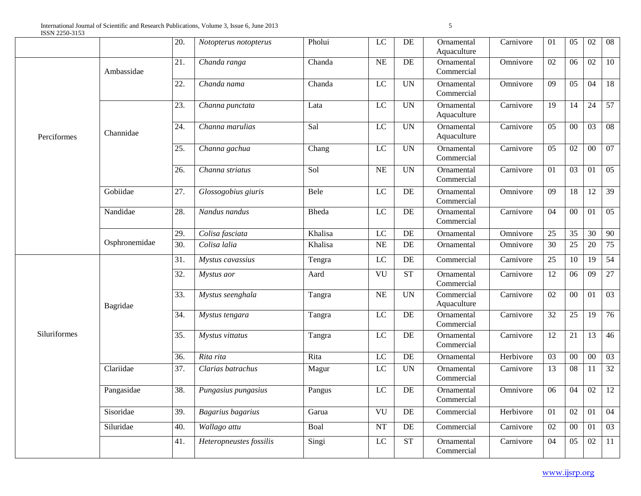|              |               | 20.               | Notopterus notopterus   | Pholui       | $\rm LC$        | DE                       | Ornamental<br>Aquaculture | Carnivore | 01              | 05              | 02              | $\overline{08}$ |
|--------------|---------------|-------------------|-------------------------|--------------|-----------------|--------------------------|---------------------------|-----------|-----------------|-----------------|-----------------|-----------------|
|              | Ambassidae    | 21.               | Chanda ranga            | Chanda       | $\rm NE$        | $\rm DE$                 | Ornamental<br>Commercial  | Omnivore  | 02              | 06              | $\overline{02}$ | 10              |
|              |               | 22.               | Chanda nama             | Chanda       | $\rm LC$        | $\ensuremath{\text{UN}}$ | Ornamental<br>Commercial  | Omnivore  | 09              | 05              | 04              | 18              |
| Perciformes  | Channidae     | 23.               | Channa punctata         | Lata         | $\rm LC$        | $\overline{UN}$          | Ornamental<br>Aquaculture | Carnivore | 19              | 14              | 24              | 57              |
|              |               | 24.               | Channa marulias         | Sal          | $\rm LC$        | <b>UN</b>                | Ornamental<br>Aquaculture | Carnivore | 05              | $\overline{00}$ | $\overline{03}$ | $\overline{08}$ |
|              |               | 25.               | Channa gachua           | Chang        | $\rm LC$        | <b>UN</b>                | Ornamental<br>Commercial  | Carnivore | 05              | 02              | $00\,$          | 07              |
|              |               | 26.               | Channa striatus         | Sol          | NE              | $\overline{UN}$          | Ornamental<br>Commercial  | Carnivore | $\overline{01}$ | $\overline{03}$ | $\overline{01}$ | 05              |
|              | Gobiidae      | 27.               | Glossogobius giuris     | Bele         | LC              | DE                       | Ornamental<br>Commercial  | Omnivore  | $\overline{09}$ | $\overline{18}$ | $\overline{12}$ | $\overline{39}$ |
|              | Nandidae      | 28.               | Nandus nandus           | <b>Bheda</b> | $\overline{LC}$ | DE                       | Ornamental<br>Commercial  | Carnivore | 04              | $\overline{00}$ | 01              | $\overline{05}$ |
|              |               | 29.               | Colisa fasciata         | Khalisa      | LC              | DE                       | Ornamental                | Omnivore  | 25              | $\overline{35}$ | 30              | 90              |
|              | Osphronemidae | $\overline{30}$ . | Colisa lalia            | Khalisa      | NE              | DE                       | Ornamental                | Omnivore  | $\overline{30}$ | $\overline{25}$ | $\overline{20}$ | 75              |
|              | Bagridae      | 31.               | Mystus cavassius        | Tengra       | $\overline{LC}$ | DE                       | Commercial                | Carnivore | 25              | 10              | $\overline{19}$ | 54              |
|              |               | 32.               | Mystus aor              | Aard         | VU              | <b>ST</b>                | Ornamental<br>Commercial  | Carnivore | 12              | 06              | 09              | 27              |
|              |               | 33.               | Mystus seenghala        | Tangra       | $\rm NE$        | $\overline{UN}$          | Commercial<br>Aquaculture | Carnivore | 02              | $\overline{00}$ | $\overline{01}$ | 03              |
|              |               | 34.               | Mystus tengara          | Tangra       | $\rm LC$        | DE                       | Ornamental<br>Commercial  | Carnivore | 32              | $25\,$          | $\overline{19}$ | 76              |
| Siluriformes |               | 35.               | Mystus vittatus         | Tangra       | $\overline{LC}$ | DE                       | Ornamental<br>Commercial  | Carnivore | 12              | 21              | $\overline{13}$ | $\overline{46}$ |
|              |               | 36.               | Rita rita               | Rita         | $\overline{LC}$ | DE                       | Ornamental                | Herbivore | $\overline{03}$ | $\overline{00}$ | $\overline{00}$ | $\overline{03}$ |
|              | Clariidae     | 37.               | Clarias batrachus       | Magur        | $\rm LC$        | <b>UN</b>                | Ornamental<br>Commercial  | Carnivore | 13              | 08              | 11              | 32              |
|              | Pangasidae    | 38.               | Pungasius pungasius     | Pangus       | $\rm LC$        | DE                       | Ornamental<br>Commercial  | Omnivore  | 06              | $\overline{04}$ | $\overline{02}$ | 12              |
|              | Sisoridae     | 39.               | Bagarius bagarius       | Garua        | VU              | $\rm DE$                 | Commercial                | Herbivore | 01              | 02              | 01              | 04              |
|              | Siluridae     | 40.               | Wallago attu            | Boal         | NT              | DE                       | Commercial                | Carnivore | 02              | $\overline{00}$ | $\overline{01}$ | 03              |
|              |               | 41.               | Heteropneustes fossilis | Singi        | $\rm LC$        | <b>ST</b>                | Ornamental<br>Commercial  | Carnivore | 04              | 05              | 02              | 11              |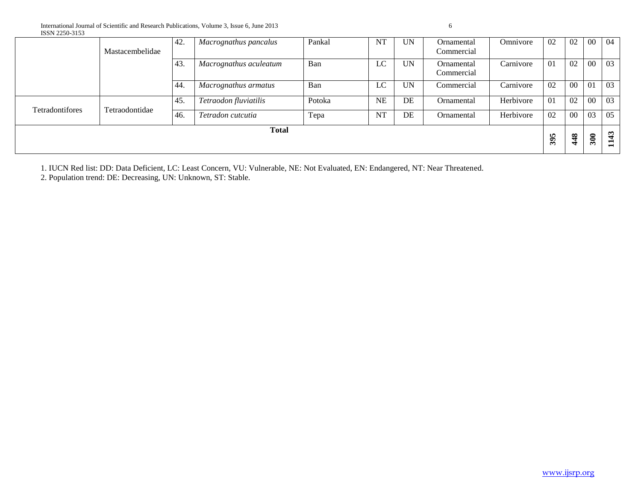| 100112200 0100  |                 | 42. | Macrognathus pancalus  | Pankal | NT        | <b>UN</b> | Ornamental               | Omnivore  | 02  | 02     | $00\,$ | -04 |
|-----------------|-----------------|-----|------------------------|--------|-----------|-----------|--------------------------|-----------|-----|--------|--------|-----|
|                 | Mastacembelidae |     |                        |        |           |           | Commercial               |           |     |        |        |     |
|                 |                 | 43. | Macrognathus aculeatum | Ban    | LC        | <b>UN</b> | Ornamental<br>Commercial | Carnivore | 01  | 02     | 00     | 03  |
|                 |                 | 44. | Macrognathus armatus   | Ban    | LC        | <b>UN</b> | Commercial               | Carnivore | 02  | $00\,$ | 01     | 03  |
| Tetradontifores | Tetraodontidae  | 45. | Tetraodon fluviatilis  | Potoka | <b>NE</b> | DE        | Ornamental               | Herbivore | 01  | 02     | $00\,$ | 03  |
|                 |                 | 46. | Tetradon cutcutia      | Tepa   | <b>NT</b> | DE        | Ornamental               | Herbivore | 02  | $00\,$ | 03     | 05  |
| <b>Total</b>    |                 |     |                        |        |           |           |                          | In.       | 448 | 300    | 1143   |     |
|                 |                 |     |                        |        |           |           | $\ddot{\bm{3}}$          |           |     |        |        |     |

1. IUCN Red list: DD: Data Deficient, LC: Least Concern, VU: Vulnerable, NE: Not Evaluated, EN: Endangered, NT: Near Threatened.

2. Population trend: DE: Decreasing, UN: Unknown, ST: Stable.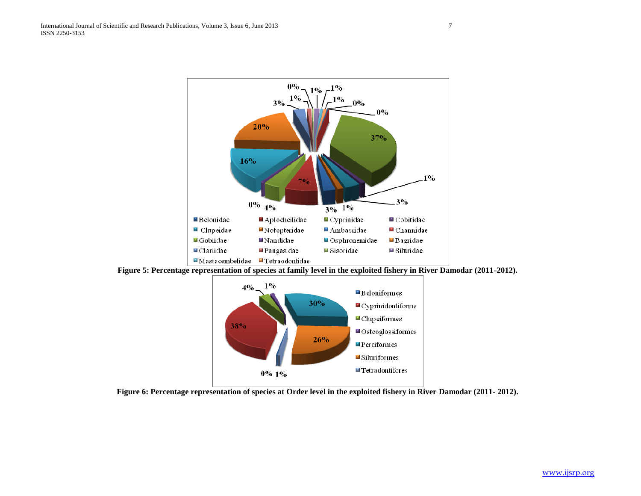

**Figure 5: Percentage representation of species at family level in the exploited fishery in River Damodar (2011-2012).**



**Figure 6: Percentage representation of species at Order level in the exploited fishery in River Damodar (2011- 2012).**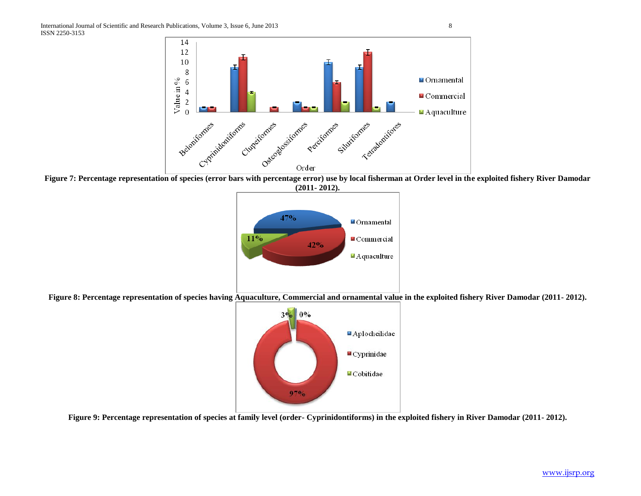

Figure 7: Percentage representation of species (error bars with percentage error) use by local fisherman at Order level in the exploited fishery River Damodar **(2011- 2012).**



**Figure 8: Percentage representation of species having Aquaculture, Commercial and ornamental value in the exploited fishery River Damodar (2011- 2012).**



**Figure 9: Percentage representation of species at family level (order- Cyprinidontiforms) in the exploited fishery in River Damodar (2011- 2012).**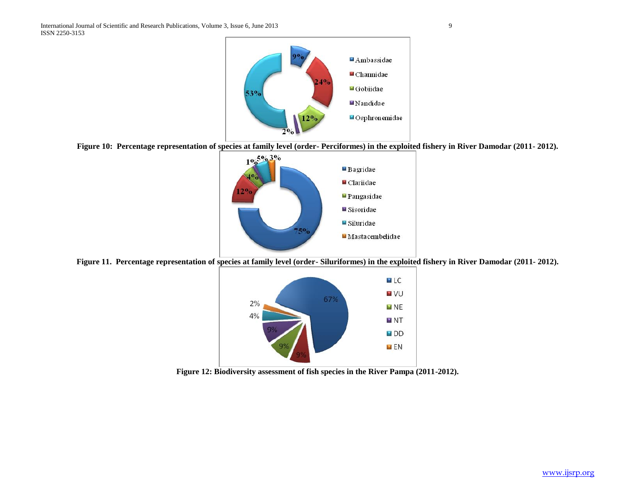

**Figure 10: Percentage representation of species at family level (order- Perciformes) in the exploited fishery in River Damodar (2011- 2012).**



**Figure 11. Percentage representation of species at family level (order- Siluriformes) in the exploited fishery in River Damodar (2011- 2012).**



**Figure 12: Biodiversity assessment of fish species in the River Pampa (2011-2012).**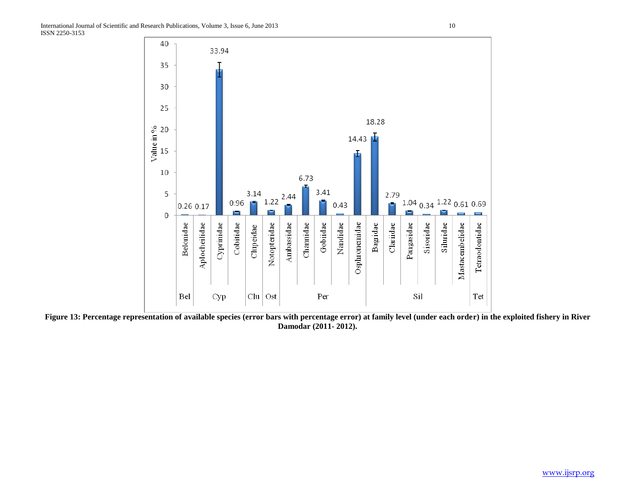

Figure 13: Percentage representation of available species (error bars with percentage error) at family level (under each order) in the exploited fishery in River **Damodar (2011- 2012).**